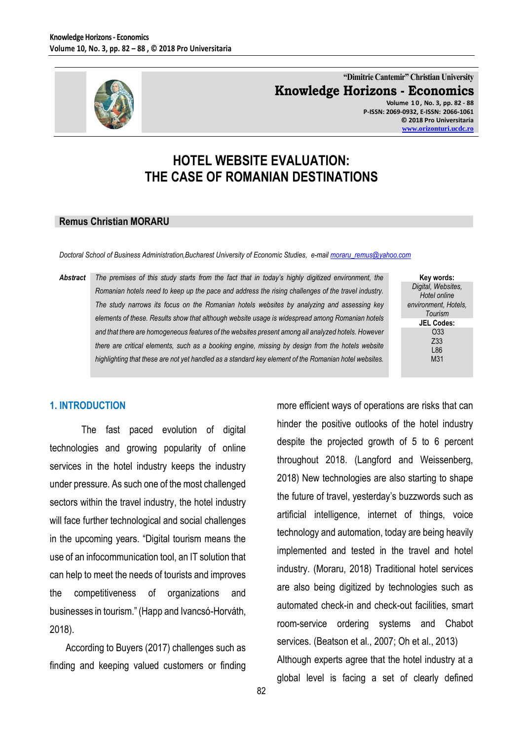

**"Dimitrie Cantemir" Christian University Knowledge Horizons - Economics Volume 1 0 , No. 3, pp. 82 - 88 P-ISSN: 2069-0932, E-ISSN: 2066-1061**

> **© 2018 Pro Universitaria [www.orizonturi.ucdc.ro](http://www.orizonturi.ucdc.ro/)**

# **HOTEL WEBSITE EVALUATION: THE CASE OF ROMANIAN DESTINATIONS**

#### **Remus Christian MORARU**

*Doctoral School of Business Administration,Bucharest University of Economic Studies, e-mail [moraru\\_remus@yahoo.com](mailto:moraru_remus@yahoo.com)*

*Abstract The premises of this study starts from the fact that in today's highly digitized environment, the Romanian hotels need to keep up the pace and address the rising challenges of the travel industry. The study narrows its focus on the Romanian hotels websites by analyzing and assessing key elements of these. Results show that although website usage is widespread among Romanian hotels and that there are homogeneous features of the websites present among all analyzed hotels. However there are critical elements, such as a booking engine, missing by design from the hotels website highlighting that these are not yet handled as a standard key element of the Romanian hotel websites.*

**Key words:** *Digital, Websites, Hotel online environment, Hotels, Tourism* **JEL Codes:** O33 Z33 L86 M31

#### **1. INTRODUCTION**

The fast paced evolution of digital technologies and growing popularity of online services in the hotel industry keeps the industry under pressure. As such one of the most challenged sectors within the travel industry, the hotel industry will face further technological and social challenges in the upcoming years. "Digital tourism means the use of an infocommunication tool, an IT solution that can help to meet the needs of tourists and improves the competitiveness of organizations and businesses in tourism." (Happ and Ivancsó-Horváth, 2018).

According to Buyers (2017) challenges such as finding and keeping valued customers or finding more efficient ways of operations are risks that can hinder the positive outlooks of the hotel industry despite the projected growth of 5 to 6 percent throughout 2018. (Langford and Weissenberg, 2018) New technologies are also starting to shape the future of travel, yesterday's buzzwords such as artificial intelligence, internet of things, voice technology and automation, today are being heavily implemented and tested in the travel and hotel industry. (Moraru, 2018) Traditional hotel services are also being digitized by technologies such as automated check-in and check-out facilities, smart room-service ordering systems and Chabot services. (Beatson et al., 2007; Oh et al., 2013) Although experts agree that the hotel industry at a global level is facing a set of clearly defined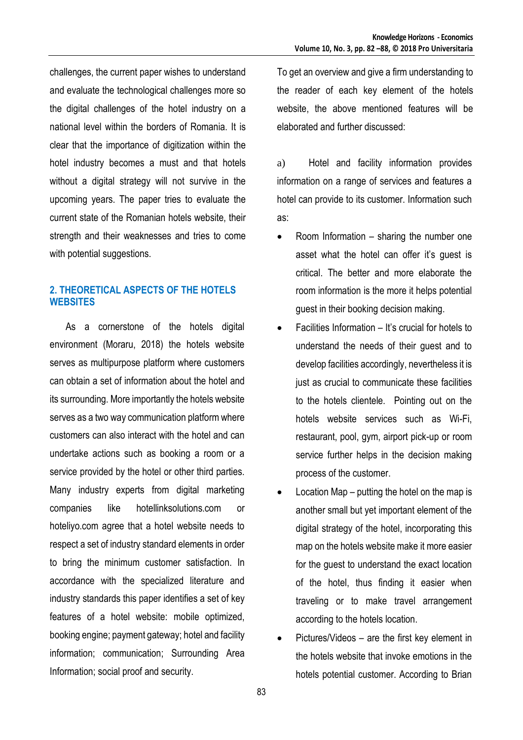challenges, the current paper wishes to understand and evaluate the technological challenges more so the digital challenges of the hotel industry on a national level within the borders of Romania. It is clear that the importance of digitization within the hotel industry becomes a must and that hotels without a digital strategy will not survive in the upcoming years. The paper tries to evaluate the current state of the Romanian hotels website, their strength and their weaknesses and tries to come with potential suggestions.

# **2. THEORETICAL ASPECTS OF THE HOTELS WEBSITES**

As a cornerstone of the hotels digital environment (Moraru, 2018) the hotels website serves as multipurpose platform where customers can obtain a set of information about the hotel and its surrounding. More importantly the hotels website serves as a two way communication platform where customers can also interact with the hotel and can undertake actions such as booking a room or a service provided by the hotel or other third parties. Many industry experts from digital marketing companies like hotellinksolutions.com or hoteliyo.com agree that a hotel website needs to respect a set of industry standard elements in order to bring the minimum customer satisfaction. In accordance with the specialized literature and industry standards this paper identifies a set of key features of a hotel website: mobile optimized, booking engine; payment gateway; hotel and facility information; communication; Surrounding Area Information; social proof and security.

To get an overview and give a firm understanding to the reader of each key element of the hotels website, the above mentioned features will be elaborated and further discussed:

a) Hotel and facility information provides information on a range of services and features a hotel can provide to its customer. Information such as:

- Room Information sharing the number one asset what the hotel can offer it's guest is critical. The better and more elaborate the room information is the more it helps potential guest in their booking decision making.
- Facilities Information It's crucial for hotels to understand the needs of their guest and to develop facilities accordingly, nevertheless it is just as crucial to communicate these facilities to the hotels clientele. Pointing out on the hotels website services such as Wi-Fi, restaurant, pool, gym, airport pick-up or room service further helps in the decision making process of the customer.
- Location Map putting the hotel on the map is another small but yet important element of the digital strategy of the hotel, incorporating this map on the hotels website make it more easier for the guest to understand the exact location of the hotel, thus finding it easier when traveling or to make travel arrangement according to the hotels location.
- Pictures/Videos are the first key element in the hotels website that invoke emotions in the hotels potential customer. According to Brian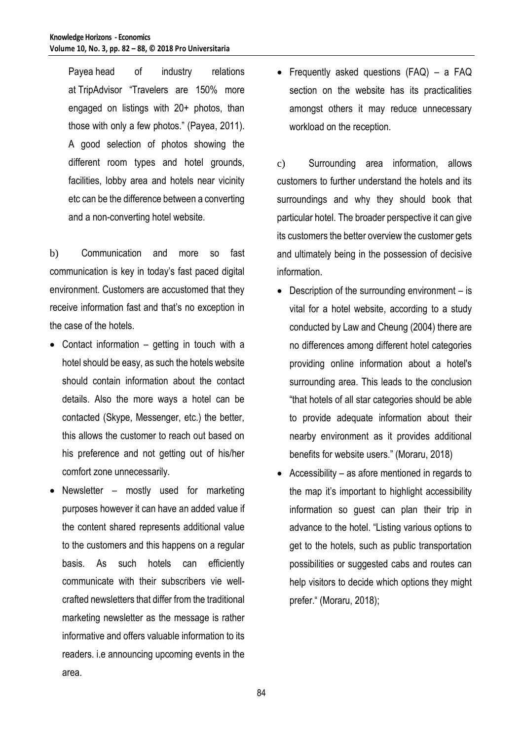Payea head of industry relations at [TripAdvisor](http://www.tripadvisor.co.uk/) "Travelers are 150% more engaged on listings with 20+ photos, than those with only a few photos." (Payea, 2011). A good selection of photos showing the different room types and hotel grounds, facilities, lobby area and hotels near vicinity etc can be the difference between a converting and a non-converting hotel website.

b) Communication and more so fast communication is key in today's fast paced digital environment. Customers are accustomed that they receive information fast and that's no exception in the case of the hotels.

- Contact information getting in touch with a hotel should be easy, as such the hotels website should contain information about the contact details. Also the more ways a hotel can be contacted (Skype, Messenger, etc.) the better, this allows the customer to reach out based on his preference and not getting out of his/her comfort zone unnecessarily.
- Newsletter mostly used for marketing purposes however it can have an added value if the content shared represents additional value to the customers and this happens on a regular basis. As such hotels can efficiently communicate with their subscribers vie wellcrafted newsletters that differ from the traditional marketing newsletter as the message is rather informative and offers valuable information to its readers. i.e announcing upcoming events in the area.

 Frequently asked questions (FAQ) – a FAQ section on the website has its practicalities amongst others it may reduce unnecessary workload on the reception.

c) Surrounding area information, allows customers to further understand the hotels and its surroundings and why they should book that particular hotel. The broader perspective it can give its customers the better overview the customer gets and ultimately being in the possession of decisive information.

- Description of the surrounding environment is vital for a hotel website, according to a study conducted by Law and Cheung (2004) there are no differences among different hotel categories providing online information about a hotel's surrounding area. This leads to the conclusion "that hotels of all star categories should be able to provide adequate information about their nearby environment as it provides additional benefits for website users." (Moraru, 2018)
- Accessibility as afore mentioned in regards to the map it's important to highlight accessibility information so guest can plan their trip in advance to the hotel. "Listing various options to get to the hotels, such as public transportation possibilities or suggested cabs and routes can help visitors to decide which options they might prefer." (Moraru, 2018);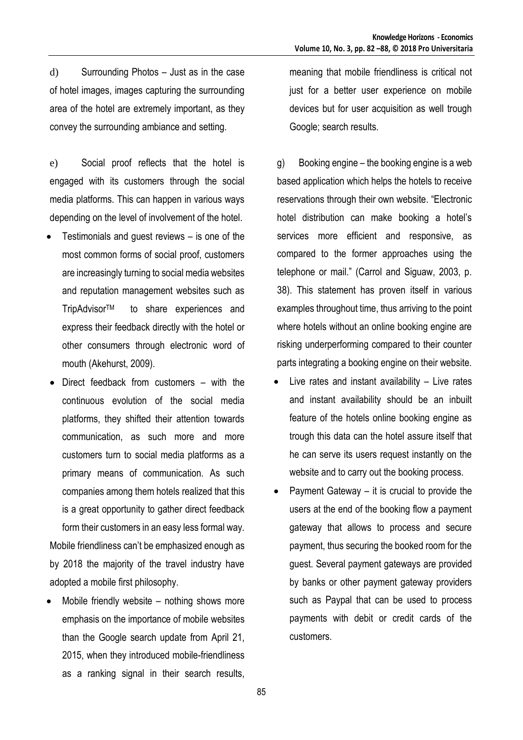d) Surrounding Photos – Just as in the case of hotel images, images capturing the surrounding area of the hotel are extremely important, as they convey the surrounding ambiance and setting.

e) Social proof reflects that the hotel is engaged with its customers through the social media platforms. This can happen in various ways depending on the level of involvement of the hotel.

- Testimonials and guest reviews is one of the most common forms of social proof, customers are increasingly turning to social media websites and reputation management websites such as TripAdvisorTM to share experiences and express their feedback directly with the hotel or other consumers through electronic word of mouth (Akehurst, 2009).
- Direct feedback from customers with the continuous evolution of the social media platforms, they shifted their attention towards communication, as such more and more customers turn to social media platforms as a primary means of communication. As such companies among them hotels realized that this is a great opportunity to gather direct feedback form their customers in an easy less formal way. Mobile friendliness can't be emphasized enough as by 2018 the majority of the travel industry have adopted a mobile first philosophy.
- Mobile friendly website nothing shows more emphasis on the importance of mobile websites than the Google search update from April 21, 2015, when they introduced mobile-friendliness as a ranking signal in their search results,

meaning that mobile friendliness is critical not just for a better user experience on mobile devices but for user acquisition as well trough Google; search results.

g) Booking engine – the booking engine is a web based application which helps the hotels to receive reservations through their own website. "Electronic hotel distribution can make booking a hotel's services more efficient and responsive, as compared to the former approaches using the telephone or mail." (Carrol and Siguaw, 2003, p. 38). This statement has proven itself in various examples throughout time, thus arriving to the point where hotels without an online booking engine are risking underperforming compared to their counter parts integrating a booking engine on their website.

- Live rates and instant availability Live rates and instant availability should be an inbuilt feature of the hotels online booking engine as trough this data can the hotel assure itself that he can serve its users request instantly on the website and to carry out the booking process.
- Payment Gateway it is crucial to provide the users at the end of the booking flow a payment gateway that allows to process and secure payment, thus securing the booked room for the guest. Several payment gateways are provided by banks or other payment gateway providers such as Paypal that can be used to process payments with debit or credit cards of the customers.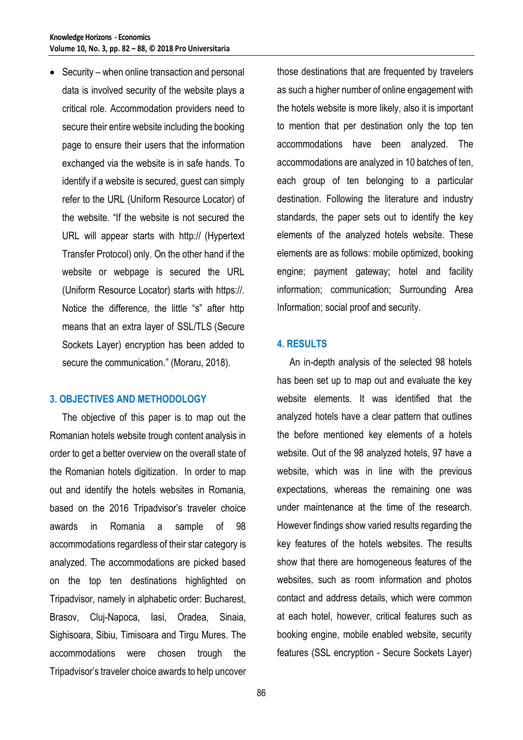• Security – when online transaction and personal data is involved security of the website plays a critical role. Accommodation providers need to secure their entire website including the booking page to ensure their users that the information exchanged via the website is in safe hands. To identify if a website is secured, guest can simply refer to the URL (Uniform Resource Locator) of the website. "If the website is not secured the URL will appear starts with http:// (Hypertext Transfer Protocol) only. On the other hand if the website or webpage is secured the URL (Uniform Resource Locator) starts with https://. Notice the difference, the little "s" after http means that an extra layer of SSL/TLS (Secure Sockets Layer) encryption has been added to secure the communication." (Moraru, 2018).

## **3. OBJECTIVES AND METHODOLOGY**

The objective of this paper is to map out the Romanian hotels website trough content analysis in order to get a better overview on the overall state of the Romanian hotels digitization. In order to map out and identify the hotels websites in Romania, based on the 2016 Tripadvisor's traveler choice awards in Romania a sample of 98 accommodations regardless of their star category is analyzed. The accommodations are picked based on the top ten destinations highlighted on Tripadvisor, namely in alphabetic order: Bucharest, Brasov, Cluj-Napoca, Iasi, Oradea, Sinaia, Sighisoara, Sibiu, Timisoara and Tirgu Mures. The accommodations were chosen trough the Tripadvisor's traveler choice awards to help uncover

those destinations that are frequented by travelers as such a higher number of online engagement with the hotels website is more likely, also it is important to mention that per destination only the top ten accommodations have been analyzed. The accommodations are analyzed in 10 batches of ten, each group of ten belonging to a particular destination. Following the literature and industry standards, the paper sets out to identify the key elements of the analyzed hotels website. These elements are as follows: mobile optimized, booking engine; payment gateway; hotel and facility information; communication; Surrounding Area Information; social proof and security.

### **4. RESULTS**

An in-depth analysis of the selected 98 hotels has been set up to map out and evaluate the key website elements. It was identified that the analyzed hotels have a clear pattern that outlines the before mentioned key elements of a hotels website. Out of the 98 analyzed hotels, 97 have a website, which was in line with the previous expectations, whereas the remaining one was under maintenance at the time of the research. However findings show varied results regarding the key features of the hotels websites. The results show that there are homogeneous features of the websites, such as room information and photos contact and address details, which were common at each hotel, however, critical features such as booking engine, mobile enabled website, security features (SSL encryption - Secure Sockets Layer)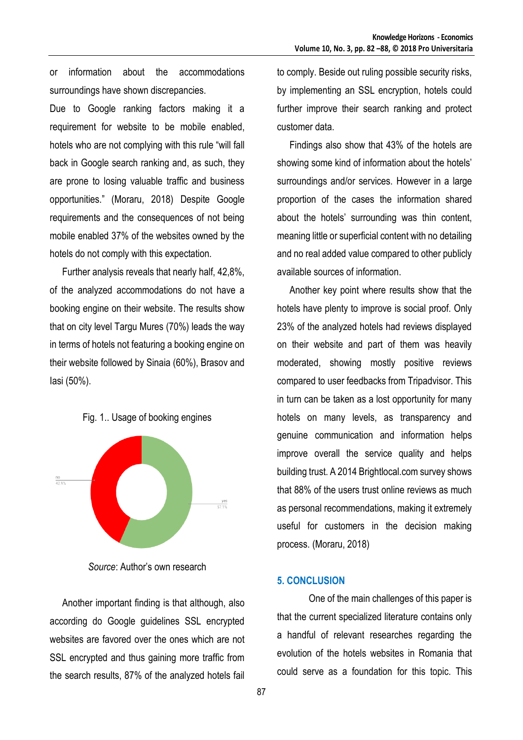or information about the accommodations surroundings have shown discrepancies.

Due to Google ranking factors making it a requirement for website to be mobile enabled, hotels who are not complying with this rule "will fall back in Google search ranking and, as such, they are prone to losing valuable traffic and business opportunities." (Moraru, 2018) Despite Google requirements and the consequences of not being mobile enabled 37% of the websites owned by the hotels do not comply with this expectation.

Further analysis reveals that nearly half, 42,8%, of the analyzed accommodations do not have a booking engine on their website. The results show that on city level Targu Mures (70%) leads the way in terms of hotels not featuring a booking engine on their website followed by Sinaia (60%), Brasov and Iasi (50%).

#### Fig. 1.. Usage of booking engines



*Source*: Author's own research

Another important finding is that although, also according do Google guidelines SSL encrypted websites are favored over the ones which are not SSL encrypted and thus gaining more traffic from the search results, 87% of the analyzed hotels fail

to comply. Beside out ruling possible security risks, by implementing an SSL encryption, hotels could further improve their search ranking and protect customer data.

Findings also show that 43% of the hotels are showing some kind of information about the hotels' surroundings and/or services. However in a large proportion of the cases the information shared about the hotels' surrounding was thin content, meaning little or superficial content with no detailing and no real added value compared to other publicly available sources of information.

Another key point where results show that the hotels have plenty to improve is social proof. Only 23% of the analyzed hotels had reviews displayed on their website and part of them was heavily moderated, showing mostly positive reviews compared to user feedbacks from Tripadvisor. This in turn can be taken as a lost opportunity for many hotels on many levels, as transparency and genuine communication and information helps improve overall the service quality and helps building trust. A 2014 Brightlocal.com survey shows that 88% of the users trust online reviews as much as personal recommendations, making it extremely useful for customers in the decision making process. (Moraru, 2018)

#### **5. CONCLUSION**

One of the main challenges of this paper is that the current specialized literature contains only a handful of relevant researches regarding the evolution of the hotels websites in Romania that could serve as a foundation for this topic. This